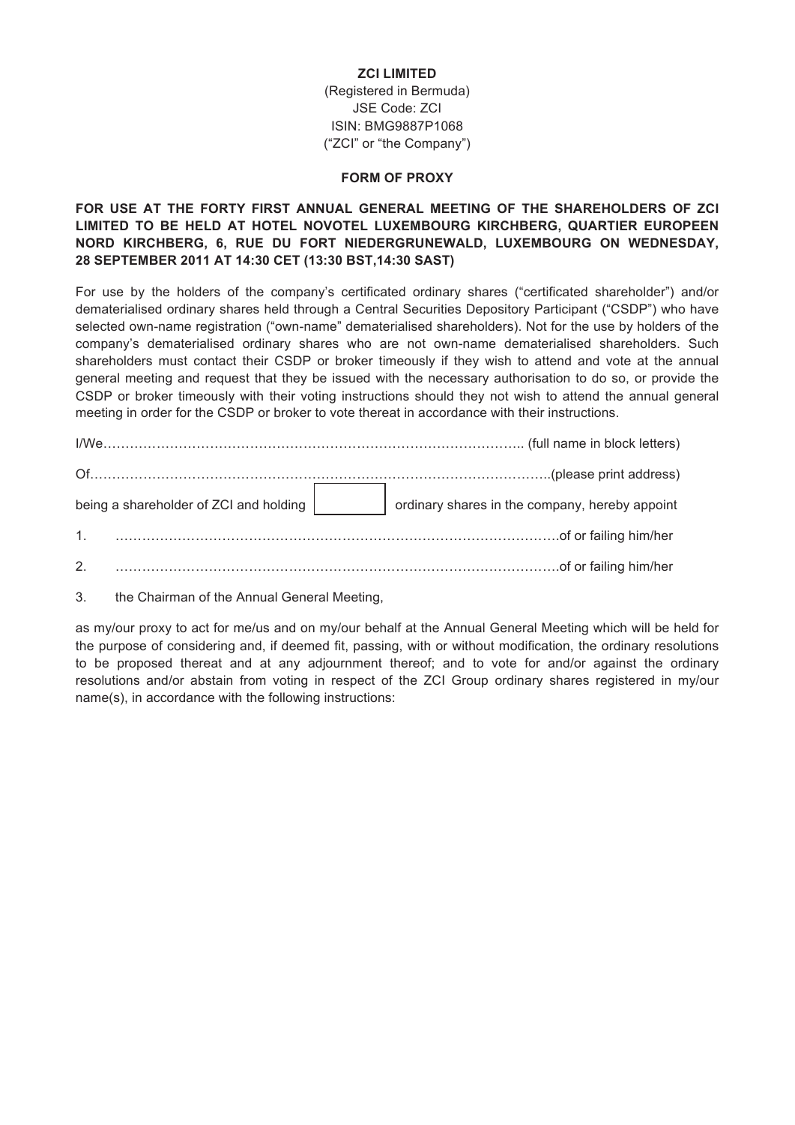## **ZCI LIMITED**

(Registered in Bermuda) JSE Code: ZCI ISIN: BMG9887P1068 ("ZCI" or "the Company")

## **FORM OF PROXY**

## **FOR USE AT THE FORTY FIRST ANNUAL GENERAL MEETING OF THE SHAREHOLDERS OF ZCI LIMITED TO BE HELD AT HOTEL NOVOTEL LUXEMBOURG KIRCHBERG, QUARTIER EUROPEEN NORD KIRCHBERG, 6, RUE DU FORT NIEDERGRUNEWALD, LUXEMBOURG ON WEDNESDAY, 28 SEPTEMBER 2011 AT 14:30 CET (13:30 BST,14:30 SAST)**

For use by the holders of the company's certificated ordinary shares ("certificated shareholder") and/or dematerialised ordinary shares held through a Central Securities Depository Participant ("CSDP") who have selected own-name registration ("own-name" dematerialised shareholders). Not for the use by holders of the company's dematerialised ordinary shares who are not own-name dematerialised shareholders. Such shareholders must contact their CSDP or broker timeously if they wish to attend and vote at the annual general meeting and request that they be issued with the necessary authorisation to do so, or provide the CSDP or broker timeously with their voting instructions should they not wish to attend the annual general meeting in order for the CSDP or broker to vote thereat in accordance with their instructions.

| being a shareholder of ZCI and holding | ordinary shares in the company, hereby appoint |
|----------------------------------------|------------------------------------------------|
| 1 <sup>1</sup>                         |                                                |
| 2.                                     |                                                |

3. the Chairman of the Annual General Meeting,

as my/our proxy to act for me/us and on my/our behalf at the Annual General Meeting which will be held for the purpose of considering and, if deemed fit, passing, with or without modification, the ordinary resolutions to be proposed thereat and at any adjournment thereof; and to vote for and/or against the ordinary resolutions and/or abstain from voting in respect of the ZCI Group ordinary shares registered in my/our name(s), in accordance with the following instructions: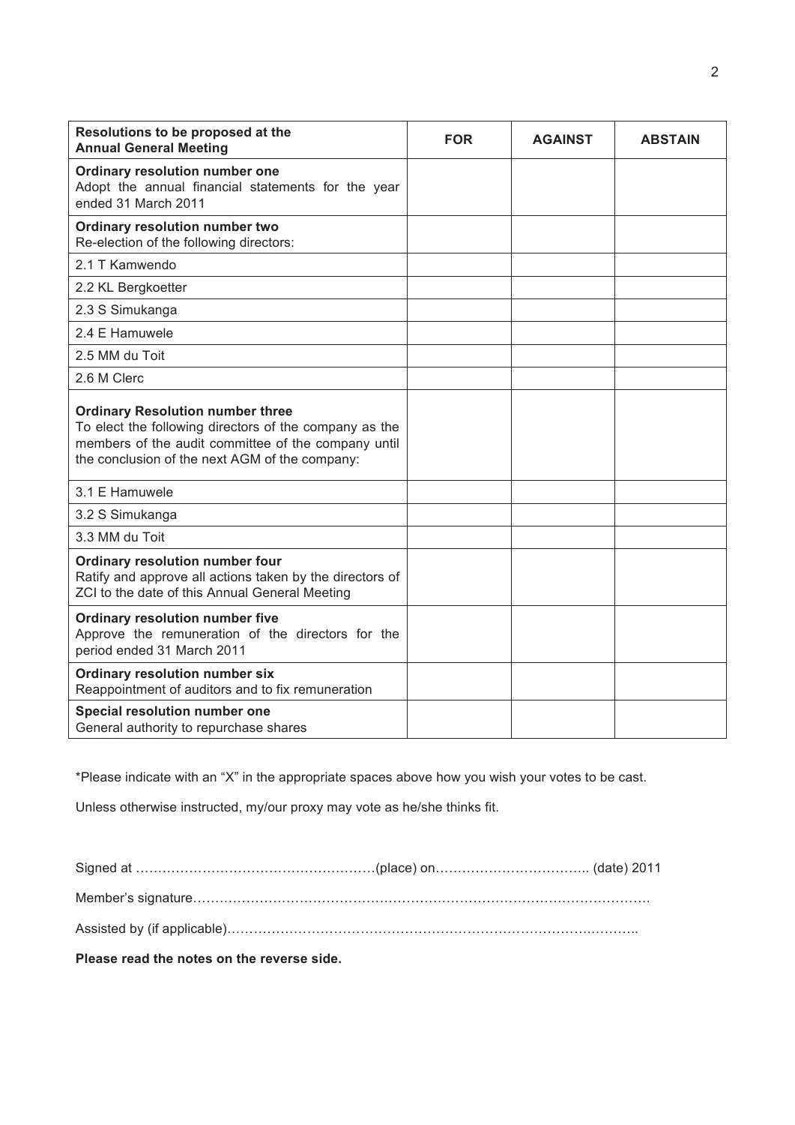| Resolutions to be proposed at the<br><b>Annual General Meeting</b>                                                                                                                                         | <b>FOR</b> | <b>AGAINST</b> | <b>ABSTAIN</b> |
|------------------------------------------------------------------------------------------------------------------------------------------------------------------------------------------------------------|------------|----------------|----------------|
| Ordinary resolution number one<br>Adopt the annual financial statements for the year<br>ended 31 March 2011                                                                                                |            |                |                |
| Ordinary resolution number two<br>Re-election of the following directors:                                                                                                                                  |            |                |                |
| 2.1 T Kamwendo                                                                                                                                                                                             |            |                |                |
| 2.2 KL Bergkoetter                                                                                                                                                                                         |            |                |                |
| 2.3 S Simukanga                                                                                                                                                                                            |            |                |                |
| 2.4 E Hamuwele                                                                                                                                                                                             |            |                |                |
| 2.5 MM du Toit                                                                                                                                                                                             |            |                |                |
| 2.6 M Clerc                                                                                                                                                                                                |            |                |                |
| <b>Ordinary Resolution number three</b><br>To elect the following directors of the company as the<br>members of the audit committee of the company until<br>the conclusion of the next AGM of the company: |            |                |                |
| 3.1 E Hamuwele                                                                                                                                                                                             |            |                |                |
| 3.2 S Simukanga                                                                                                                                                                                            |            |                |                |
| 3.3 MM du Toit                                                                                                                                                                                             |            |                |                |
| Ordinary resolution number four<br>Ratify and approve all actions taken by the directors of<br>ZCI to the date of this Annual General Meeting                                                              |            |                |                |
| Ordinary resolution number five<br>Approve the remuneration of the directors for the<br>period ended 31 March 2011                                                                                         |            |                |                |
| Ordinary resolution number six<br>Reappointment of auditors and to fix remuneration                                                                                                                        |            |                |                |
| Special resolution number one<br>General authority to repurchase shares                                                                                                                                    |            |                |                |

\*Please indicate with an "X" in the appropriate spaces above how you wish your votes to be cast.

Unless otherwise instructed, my/our proxy may vote as he/she thinks fit.

**Please read the notes on the reverse side.**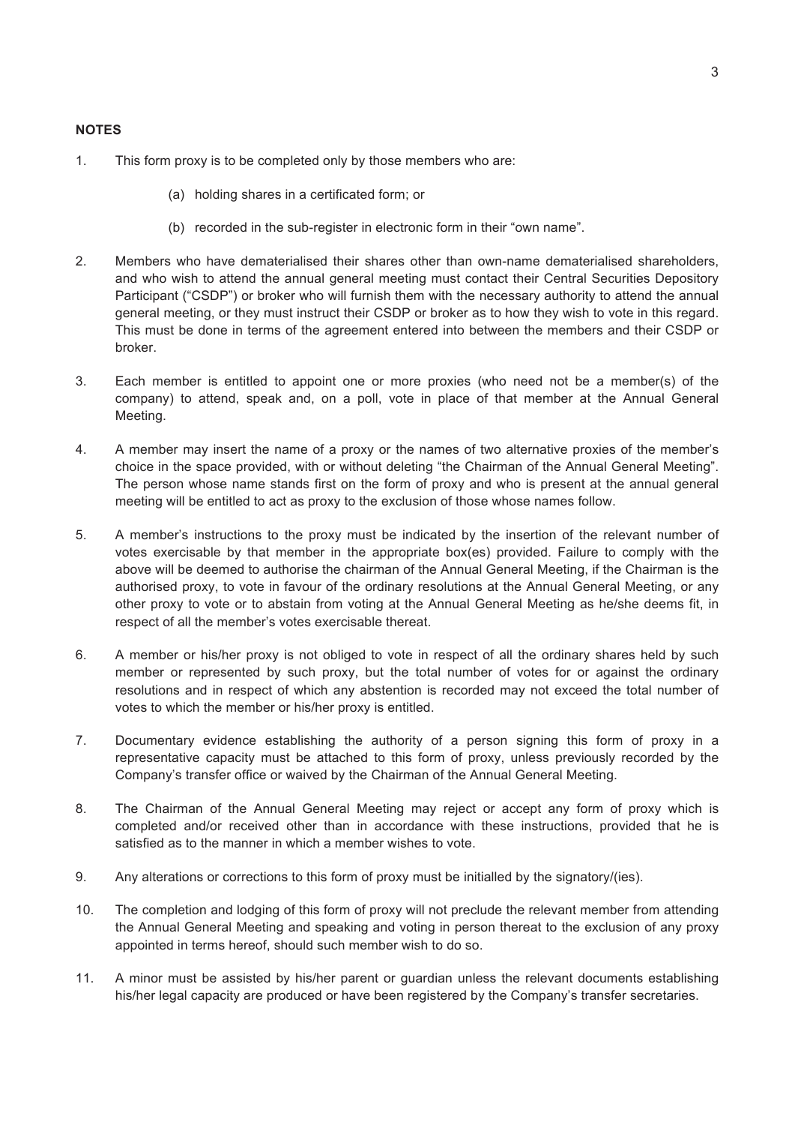- 1. This form proxy is to be completed only by those members who are:
	- (a) holding shares in a certificated form; or
	- (b) recorded in the sub-register in electronic form in their "own name".
- 2. Members who have dematerialised their shares other than own-name dematerialised shareholders, and who wish to attend the annual general meeting must contact their Central Securities Depository Participant ("CSDP") or broker who will furnish them with the necessary authority to attend the annual general meeting, or they must instruct their CSDP or broker as to how they wish to vote in this regard. This must be done in terms of the agreement entered into between the members and their CSDP or broker.
- 3. Each member is entitled to appoint one or more proxies (who need not be a member(s) of the company) to attend, speak and, on a poll, vote in place of that member at the Annual General Meeting.
- 4. A member may insert the name of a proxy or the names of two alternative proxies of the member's choice in the space provided, with or without deleting "the Chairman of the Annual General Meeting". The person whose name stands first on the form of proxy and who is present at the annual general meeting will be entitled to act as proxy to the exclusion of those whose names follow.
- 5. A member's instructions to the proxy must be indicated by the insertion of the relevant number of votes exercisable by that member in the appropriate box(es) provided. Failure to comply with the above will be deemed to authorise the chairman of the Annual General Meeting, if the Chairman is the authorised proxy, to vote in favour of the ordinary resolutions at the Annual General Meeting, or any other proxy to vote or to abstain from voting at the Annual General Meeting as he/she deems fit, in respect of all the member's votes exercisable thereat.
- 6. A member or his/her proxy is not obliged to vote in respect of all the ordinary shares held by such member or represented by such proxy, but the total number of votes for or against the ordinary resolutions and in respect of which any abstention is recorded may not exceed the total number of votes to which the member or his/her proxy is entitled.
- 7. Documentary evidence establishing the authority of a person signing this form of proxy in a representative capacity must be attached to this form of proxy, unless previously recorded by the Company's transfer office or waived by the Chairman of the Annual General Meeting.
- 8. The Chairman of the Annual General Meeting may reject or accept any form of proxy which is completed and/or received other than in accordance with these instructions, provided that he is satisfied as to the manner in which a member wishes to vote.
- 9. Any alterations or corrections to this form of proxy must be initialled by the signatory/(ies).
- 10. The completion and lodging of this form of proxy will not preclude the relevant member from attending the Annual General Meeting and speaking and voting in person thereat to the exclusion of any proxy appointed in terms hereof, should such member wish to do so.
- 11. A minor must be assisted by his/her parent or guardian unless the relevant documents establishing his/her legal capacity are produced or have been registered by the Company's transfer secretaries.